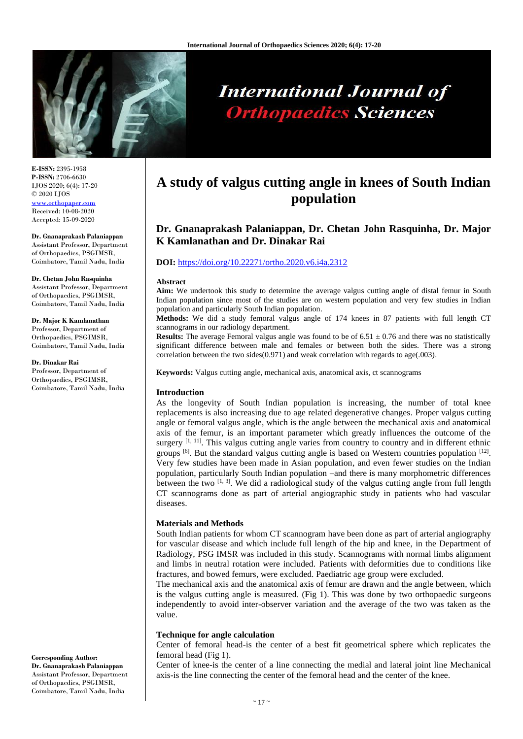

# **International Journal of Orthopaedics Sciences**

**E-ISSN:** 2395-1958 **P-ISSN:** 2706-6630 IJOS 2020; 6(4): 17-20 © 2020 IJOS [www.orthopaper.com](http://www.orthopaper.com/) Received: 10-08-2020 Accepted: 15-09-2020

#### **Dr. Gnanaprakash Palaniappan**

Assistant Professor, Department of Orthopaedics, PSGIMSR, Coimbatore, Tamil Nadu, India

#### **Dr. Chetan John Rasquinha**

Assistant Professor, Department of Orthopaedics, PSGIMSR, Coimbatore, Tamil Nadu, India

#### **Dr. Major K Kamlanathan**

Professor, Department of Orthopaedics, PSGIMSR, Coimbatore, Tamil Nadu, India

#### **Dr. Dinakar Rai**

Professor, Department of Orthopaedics, PSGIMSR, Coimbatore, Tamil Nadu, India

**Corresponding Author: Dr. Gnanaprakash Palaniappan** Assistant Professor, Department of Orthopaedics, PSGIMSR, Coimbatore, Tamil Nadu, India

## **A study of valgus cutting angle in knees of South Indian population**

### **Dr. Gnanaprakash Palaniappan, Dr. Chetan John Rasquinha, Dr. Major K Kamlanathan and Dr. Dinakar Rai**

#### **DOI:** <https://doi.org/10.22271/ortho.2020.v6.i4a.2312>

#### **Abstract**

**Aim:** We undertook this study to determine the average valgus cutting angle of distal femur in South Indian population since most of the studies are on western population and very few studies in Indian population and particularly South Indian population.

**Methods:** We did a study femoral valgus angle of 174 knees in 87 patients with full length CT scannograms in our radiology department.

**Results:** The average Femoral valgus angle was found to be of  $6.51 \pm 0.76$  and there was no statistically significant difference between male and females or between both the sides. There was a strong correlation between the two sides(0.971) and weak correlation with regards to age(.003).

**Keywords:** Valgus cutting angle, mechanical axis, anatomical axis, ct scannograms

#### **Introduction**

As the longevity of South Indian population is increasing, the number of total knee replacements is also increasing due to age related degenerative changes. Proper valgus cutting angle or femoral valgus angle, which is the angle between the mechanical axis and anatomical axis of the femur, is an important parameter which greatly influences the outcome of the surgery  $[1, 11]$ . This valgus cutting angle varies from country to country and in different ethnic groups  $\left[6\right]$ . But the standard valgus cutting angle is based on Western countries population  $\left[12\right]$ . Very few studies have been made in Asian population, and even fewer studies on the Indian population, particularly South Indian population –and there is many morphometric differences between the two  $^{[1, 3]}$ . We did a radiological study of the valgus cutting angle from full length CT scannograms done as part of arterial angiographic study in patients who had vascular diseases.

#### **Materials and Methods**

South Indian patients for whom CT scannogram have been done as part of arterial angiography for vascular disease and which include full length of the hip and knee, in the Department of Radiology, PSG IMSR was included in this study. Scannograms with normal limbs alignment and limbs in neutral rotation were included. Patients with deformities due to conditions like fractures, and bowed femurs, were excluded. Paediatric age group were excluded.

The mechanical axis and the anatomical axis of femur are drawn and the angle between, which is the valgus cutting angle is measured. (Fig 1). This was done by two orthopaedic surgeons independently to avoid inter-observer variation and the average of the two was taken as the value.

#### **Technique for angle calculation**

Center of femoral head-is the center of a best fit geometrical sphere which replicates the femoral head (Fig 1).

Center of knee-is the center of a line connecting the medial and lateral joint line Mechanical axis-is the line connecting the center of the femoral head and the center of the knee.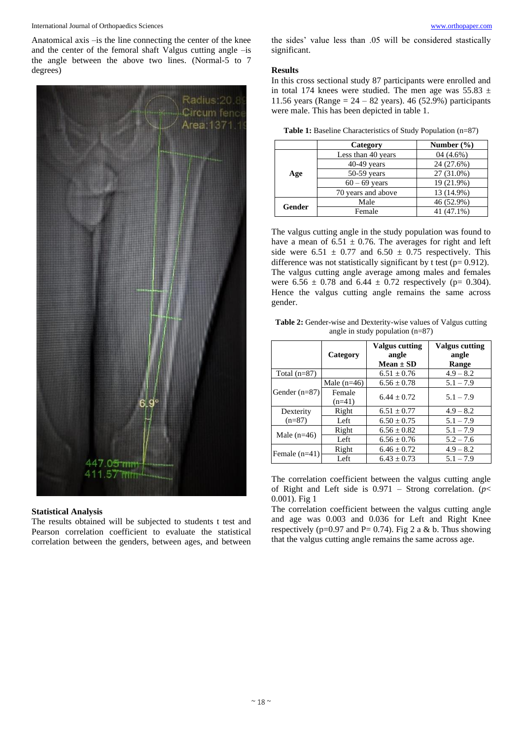Anatomical axis –is the line connecting the center of the knee and the center of the femoral shaft Valgus cutting angle –is the angle between the above two lines. (Normal-5 to 7 degrees)



#### **Statistical Analysis**

The results obtained will be subjected to students t test and Pearson correlation coefficient to evaluate the statistical correlation between the genders, between ages, and between the sides' value less than .05 will be considered stastically significant.

#### **Results**

In this cross sectional study 87 participants were enrolled and in total 174 knees were studied. The men age was  $55.83 \pm$ 11.56 years (Range =  $24 - 82$  years). 46 (52.9%) participants were male. This has been depicted in table 1.

**Table 1:** Baseline Characteristics of Study Population (n=87)

|        | Category           | Number $(\% )$ |
|--------|--------------------|----------------|
| Age    | Less than 40 years | $04(4.6\%)$    |
|        | $40-49$ years      | 24 (27.6%)     |
|        | $50-59$ years      | 27 (31.0%)     |
|        | $60 - 69$ years    | 19 (21.9%)     |
|        | 70 years and above | 13 (14.9%)     |
| Gender | Male               | 46 (52.9%)     |
|        | Female             | 41 (47.1%)     |

The valgus cutting angle in the study population was found to have a mean of  $6.51 \pm 0.76$ . The averages for right and left side were 6.51  $\pm$  0.77 and 6.50  $\pm$  0.75 respectively. This difference was not statistically significant by t test ( $p= 0.912$ ). The valgus cutting angle average among males and females were  $6.56 \pm 0.78$  and  $6.44 \pm 0.72$  respectively (p= 0.304). Hence the valgus cutting angle remains the same across gender.

**Table 2:** Gender-wise and Dexterity-wise values of Valgus cutting angle in study population (n=87)

|                       | Category           | <b>Valgus cutting</b><br>angle<br>$Mean \pm SD$ | <b>Valgus cutting</b><br>angle<br>Range |
|-----------------------|--------------------|-------------------------------------------------|-----------------------------------------|
| Total $(n=87)$        |                    | $6.51 \pm 0.76$                                 | $4.9 - 8.2$                             |
| Gender $(n=87)$       | Male $(n=46)$      | $6.56 \pm 0.78$                                 | $5.1 - 7.9$                             |
|                       | Female<br>$(n=41)$ | $6.44 + 0.72$                                   | $5.1 - 7.9$                             |
| Dexterity<br>$(n=87)$ | Right              | $6.51 \pm 0.77$                                 | $4.9 - 8.2$                             |
|                       | Left               | $6.50 \pm 0.75$                                 | $5.1 - 7.9$                             |
| Male $(n=46)$         | Right              | $6.56 \pm 0.82$                                 | $5.1 - 7.9$                             |
|                       | Left               | $6.56 \pm 0.76$                                 | $5.2 - 7.6$                             |
| Female $(n=41)$       | Right              | $6.46 \pm 0.72$                                 | $4.9 - 8.2$                             |
|                       | Left               | $6.43 \pm 0.73$                                 | $5.1 - 7.9$                             |

The correlation coefficient between the valgus cutting angle of Right and Left side is  $0.971$  – Strong correlation. ( $p$ < 0.001). Fig 1

The correlation coefficient between the valgus cutting angle and age was 0.003 and 0.036 for Left and Right Knee respectively (p=0.97 and P= 0.74). Fig 2 a & b. Thus showing that the valgus cutting angle remains the same across age.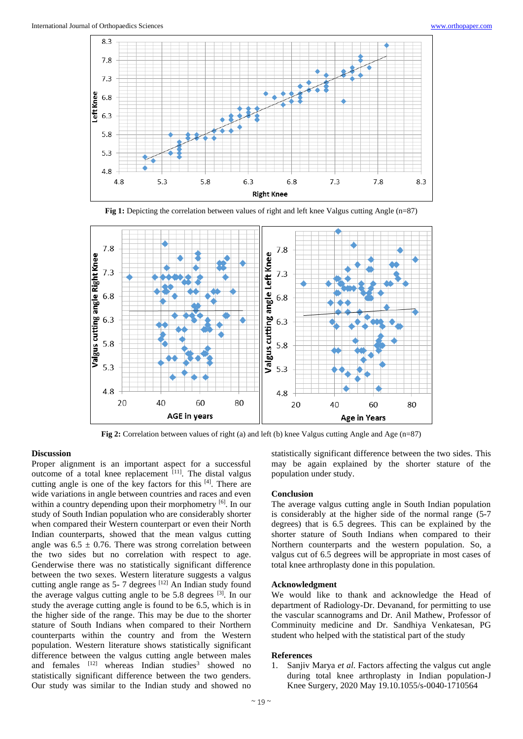

**Fig 1:** Depicting the correlation between values of right and left knee Valgus cutting Angle (n=87)



**Fig 2:** Correlation between values of right (a) and left (b) knee Valgus cutting Angle and Age (n=87)

#### **Discussion**

Proper alignment is an important aspect for a successful outcome of a total knee replacement [11]. The distal valgus cutting angle is one of the key factors for this [4] . There are wide variations in angle between countries and races and even within a country depending upon their morphometry [6]. In our study of South Indian population who are considerably shorter when compared their Western counterpart or even their North Indian counterparts, showed that the mean valgus cutting angle was  $6.5 \pm 0.76$ . There was strong correlation between the two sides but no correlation with respect to age. Genderwise there was no statistically significant difference between the two sexes. Western literature suggests a valgus cutting angle range as 5- 7 degrees [12] An Indian study found the average valgus cutting angle to be 5.8 degrees [3] . In our study the average cutting angle is found to be 6.5, which is in the higher side of the range. This may be due to the shorter stature of South Indians when compared to their Northern counterparts within the country and from the Western population. Western literature shows statistically significant difference between the valgus cutting angle between males and females  $[12]$  whereas Indian studies<sup>3</sup> showed no statistically significant difference between the two genders. Our study was similar to the Indian study and showed no

statistically significant difference between the two sides. This may be again explained by the shorter stature of the population under study.

#### **Conclusion**

The average valgus cutting angle in South Indian population is considerably at the higher side of the normal range (5-7 degrees) that is 6.5 degrees. This can be explained by the shorter stature of South Indians when compared to their Northern counterparts and the western population. So, a valgus cut of 6.5 degrees will be appropriate in most cases of total knee arthroplasty done in this population.

#### **Acknowledgment**

We would like to thank and acknowledge the Head of department of Radiology-Dr. Devanand, for permitting to use the vascular scannograms and Dr. Anil Mathew, Professor of Comminuity medicine and Dr. Sandhiya Venkatesan, PG student who helped with the statistical part of the study

#### **References**

1. Sanjiv Marya *et al*. Factors affecting the valgus cut angle during total knee arthroplasty in Indian population-J Knee Surgery, 2020 May 19.10.1055/s-0040-1710564